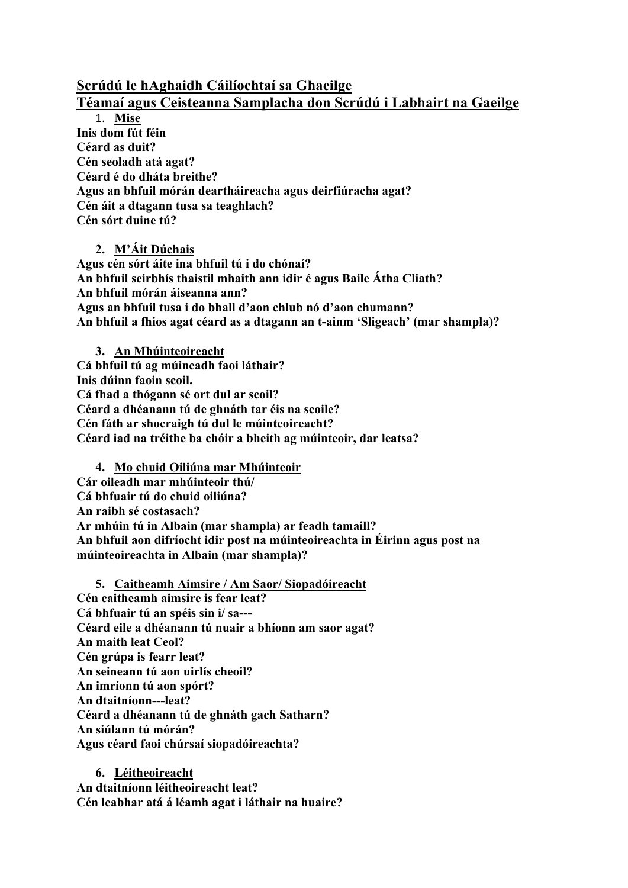## **Scrúdú le hAghaidh Cáilíochtaí sa Ghaeilge**

## **Téamaí agus Ceisteanna Samplacha don Scrúdú i Labhairt na Gaeilge**

1. **Mise Inis dom fút féin Céard as duit? Cén seoladh atá agat? Céard é do dháta breithe? Agus an bhfuil mórán deartháireacha agus deirfiúracha agat? Cén áit a dtagann tusa sa teaghlach? Cén sórt duine tú?** 

**2. M'Áit Dúchais Agus cén sórt áite ina bhfuil tú i do chónaí? An bhfuil seirbhís thaistil mhaith ann idir é agus Baile Átha Cliath? An bhfuil mórán áiseanna ann? Agus an bhfuil tusa i do bhall d'aon chlub nó d'aon chumann? An bhfuil a fhios agat céard as a dtagann an t-ainm 'Sligeach' (mar shampla)?** 

**3. An Mhúinteoireacht Cá bhfuil tú ag múineadh faoi láthair? Inis dúinn faoin scoil. Cá fhad a thógann sé ort dul ar scoil? Céard a dhéanann tú de ghnáth tar éis na scoile? Cén fáth ar shocraigh tú dul le múinteoireacht? Céard iad na tréithe ba chóir a bheith ag múinteoir, dar leatsa?**

**4. Mo chuid Oiliúna mar Mhúinteoir Cár oileadh mar mhúinteoir thú/ Cá bhfuair tú do chuid oiliúna? An raibh sé costasach? Ar mhúin tú in Albain (mar shampla) ar feadh tamaill? An bhfuil aon difríocht idir post na múinteoireachta in Éirinn agus post na múinteoireachta in Albain (mar shampla)?** 

**5. Caitheamh Aimsire / Am Saor/ Siopadóireacht Cén caitheamh aimsire is fear leat? Cá bhfuair tú an spéis sin i/ sa--- Céard eile a dhéanann tú nuair a bhíonn am saor agat? An maith leat Ceol? Cén grúpa is fearr leat? An seineann tú aon uirlís cheoil? An imríonn tú aon spórt? An dtaitníonn---leat? Céard a dhéanann tú de ghnáth gach Satharn? An siúlann tú mórán? Agus céard faoi chúrsaí siopadóireachta?**

**6. Léitheoireacht An dtaitníonn léitheoireacht leat? Cén leabhar atá á léamh agat i láthair na huaire?**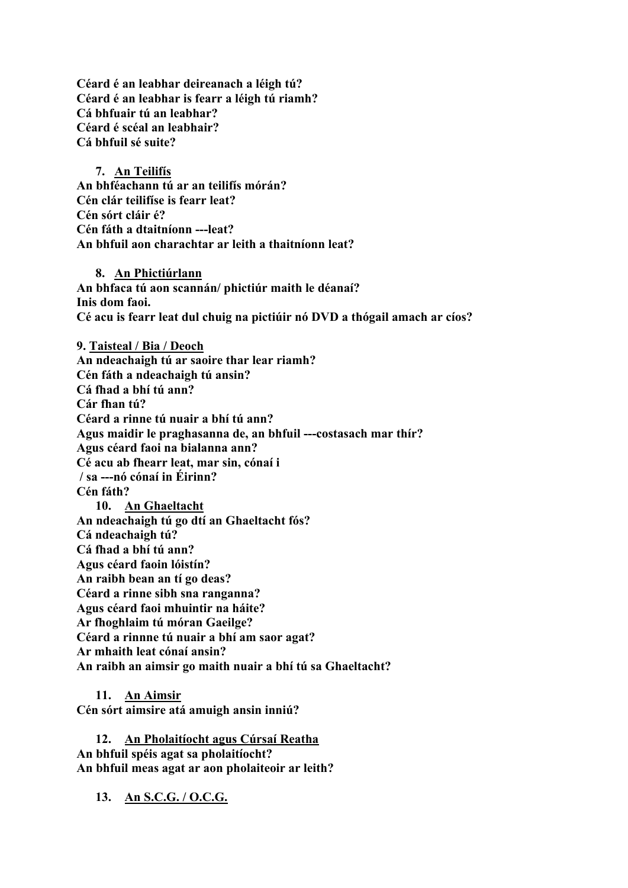**Céard é an leabhar deireanach a léigh tú? Céard é an leabhar is fearr a léigh tú riamh? Cá bhfuair tú an leabhar? Céard é scéal an leabhair? Cá bhfuil sé suite?**

**7. An Teilifís An bhféachann tú ar an teilifís mórán? Cén clár teilifíse is fearr leat? Cén sórt cláir é? Cén fáth a dtaitníonn ---leat? An bhfuil aon charachtar ar leith a thaitníonn leat?**

**8. An Phictiúrlann An bhfaca tú aon scannán/ phictiúr maith le déanaí? Inis dom faoi. Cé acu is fearr leat dul chuig na pictiúir nó DVD a thógail amach ar cíos?**

**9. Taisteal / Bia / Deoch An ndeachaigh tú ar saoire thar lear riamh? Cén fáth a ndeachaigh tú ansin? Cá fhad a bhí tú ann? Cár fhan tú? Céard a rinne tú nuair a bhí tú ann? Agus maidir le praghasanna de, an bhfuil ---costasach mar thír? Agus céard faoi na bialanna ann? Cé acu ab fhearr leat, mar sin, cónaí i / sa ---nó cónaí in Éirinn? Cén fáth? 10. An Ghaeltacht An ndeachaigh tú go dtí an Ghaeltacht fós? Cá ndeachaigh tú? Cá fhad a bhí tú ann? Agus céard faoin lóistín? An raibh bean an tí go deas? Céard a rinne sibh sna ranganna? Agus céard faoi mhuintir na háite? Ar fhoghlaim tú móran Gaeilge? Céard a rinnne tú nuair a bhí am saor agat? Ar mhaith leat cónaí ansin? An raibh an aimsir go maith nuair a bhí tú sa Ghaeltacht?**

**11. An Aimsir**

**Cén sórt aimsire atá amuigh ansin inniú?**

**12. An Pholaitíocht agus Cúrsaí Reatha An bhfuil spéis agat sa pholaitíocht? An bhfuil meas agat ar aon pholaiteoir ar leith?**

**13. An S.C.G. / O.C.G.**